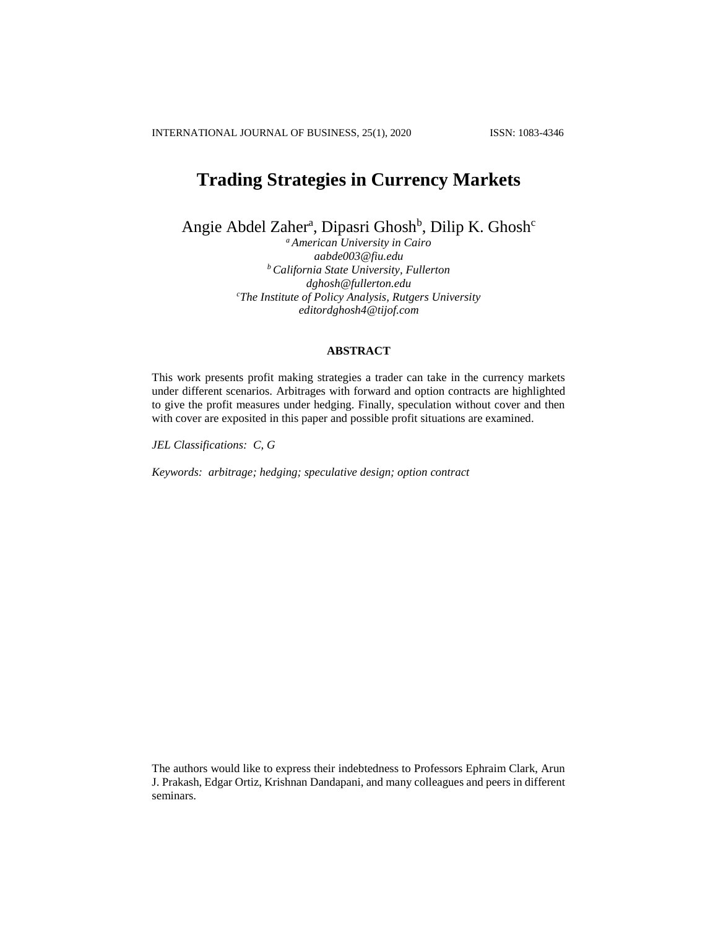INTERNATIONAL JOURNAL OF BUSINESS, 25(1), 2020 ISSN: 1083-4346

# **Trading Strategies in Currency Markets**

Angie Abdel Zaher<sup>a</sup>, Dipasri Ghosh<sup>b</sup>, Dilip K. Ghosh<sup>c</sup>

*<sup>a</sup> American University in Cairo aabde003@fiu.edu <sup>b</sup> California State University, Fullerton dghosh@fullerton.edu <sup>c</sup>The Institute of Policy Analysis, Rutgers University editordghosh4@tijof.com*

## **ABSTRACT**

This work presents profit making strategies a trader can take in the currency markets under different scenarios. Arbitrages with forward and option contracts are highlighted to give the profit measures under hedging. Finally, speculation without cover and then with cover are exposited in this paper and possible profit situations are examined.

*JEL Classifications: C, G*

*Keywords: arbitrage; hedging; speculative design; option contract*

The authors would like to express their indebtedness to Professors Ephraim Clark, Arun J. Prakash, Edgar Ortiz, Krishnan Dandapani, and many colleagues and peers in different seminars.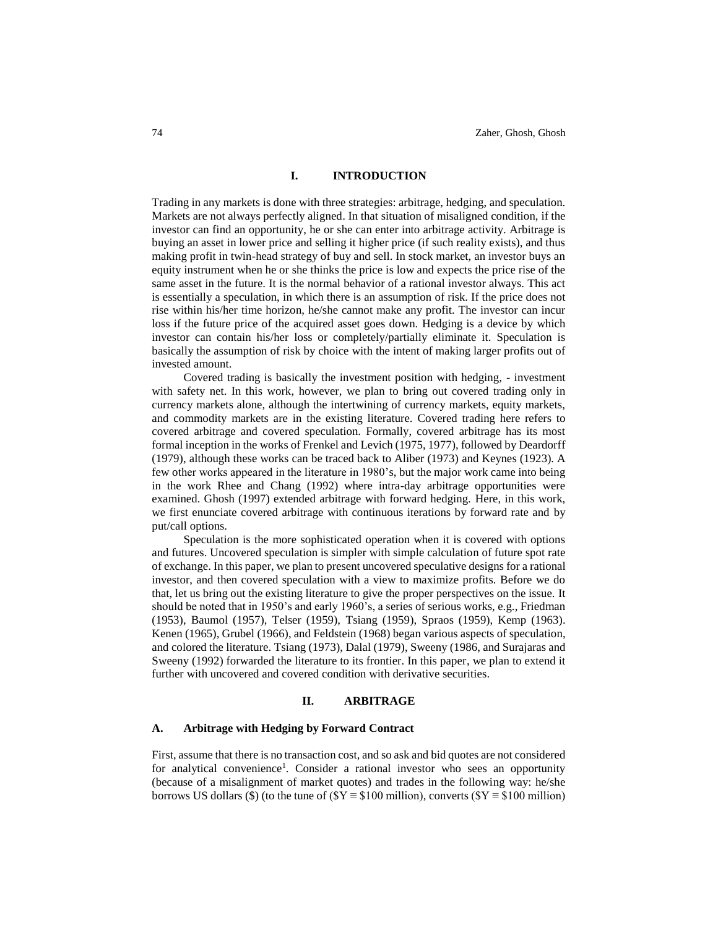#### **I. INTRODUCTION**

Trading in any markets is done with three strategies: arbitrage, hedging, and speculation. Markets are not always perfectly aligned. In that situation of misaligned condition, if the investor can find an opportunity, he or she can enter into arbitrage activity. Arbitrage is buying an asset in lower price and selling it higher price (if such reality exists), and thus making profit in twin-head strategy of buy and sell. In stock market, an investor buys an equity instrument when he or she thinks the price is low and expects the price rise of the same asset in the future. It is the normal behavior of a rational investor always. This act is essentially a speculation, in which there is an assumption of risk. If the price does not rise within his/her time horizon, he/she cannot make any profit. The investor can incur loss if the future price of the acquired asset goes down. Hedging is a device by which investor can contain his/her loss or completely/partially eliminate it. Speculation is basically the assumption of risk by choice with the intent of making larger profits out of invested amount.

Covered trading is basically the investment position with hedging, - investment with safety net. In this work, however, we plan to bring out covered trading only in currency markets alone, although the intertwining of currency markets, equity markets, and commodity markets are in the existing literature. Covered trading here refers to covered arbitrage and covered speculation. Formally, covered arbitrage has its most formal inception in the works of Frenkel and Levich (1975, 1977), followed by Deardorff (1979), although these works can be traced back to Aliber (1973) and Keynes (1923). A few other works appeared in the literature in 1980's, but the major work came into being in the work Rhee and Chang (1992) where intra-day arbitrage opportunities were examined. Ghosh (1997) extended arbitrage with forward hedging. Here, in this work, we first enunciate covered arbitrage with continuous iterations by forward rate and by put/call options.

Speculation is the more sophisticated operation when it is covered with options and futures. Uncovered speculation is simpler with simple calculation of future spot rate of exchange. In this paper, we plan to present uncovered speculative designs for a rational investor, and then covered speculation with a view to maximize profits. Before we do that, let us bring out the existing literature to give the proper perspectives on the issue. It should be noted that in 1950's and early 1960's, a series of serious works, e.g., Friedman (1953), Baumol (1957), Telser (1959), Tsiang (1959), Spraos (1959), Kemp (1963). Kenen (1965), Grubel (1966), and Feldstein (1968) began various aspects of speculation, and colored the literature. Tsiang (1973), Dalal (1979), Sweeny (1986, and Surajaras and Sweeny (1992) forwarded the literature to its frontier. In this paper, we plan to extend it further with uncovered and covered condition with derivative securities.

#### **II. ARBITRAGE**

### **A. Arbitrage with Hedging by Forward Contract**

First, assume that there is no transaction cost, and so ask and bid quotes are not considered for analytical convenience<sup>1</sup>. Consider a rational investor who sees an opportunity (because of a misalignment of market quotes) and trades in the following way: he/she borrows US dollars (\$) (to the tune of ( $Y = $100$  million), converts ( $Y = $100$  million)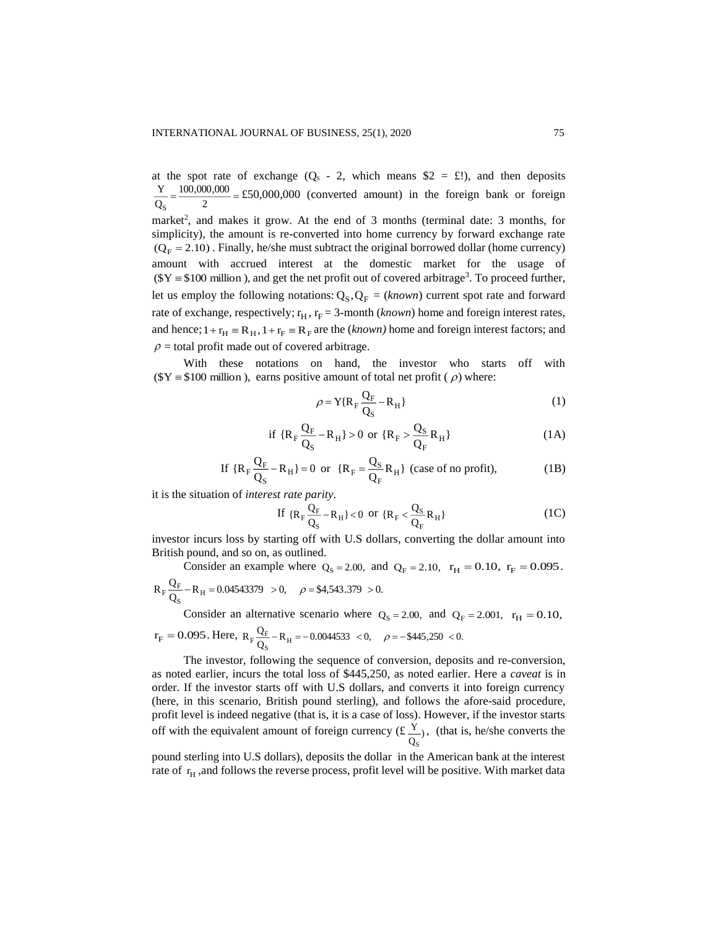at the spot rate of exchange  $(Q_s - 2$ , which means  $$2 = £!$ ), and then deposits  $=\frac{2}{2}$ 100,000,000 Q Y S £50,000,000 (converted amount) in the foreign bank or foreign market<sup>2</sup>, and makes it grow. At the end of 3 months (terminal date: 3 months, for simplicity), the amount is re-converted into home currency by forward exchange rate  $(Q_F = 2.10)$ . Finally, he/she must subtract the original borrowed dollar (home currency) amount with accrued interest at the domestic market for the usage of  $(\$Y = \$100 \text{ million})$ , and get the net profit out of covered arbitrage<sup>3</sup>. To proceed further, let us employ the following notations:  $Q_S, Q_F = (known)$  current spot rate and forward rate of exchange, respectively;  $r_H$ ,  $r_F = 3$ -month (*known*) home and foreign interest rates, and hence;  $1 + r_H \equiv R_H$ ,  $1 + r_F \equiv R_F$  are the *(known)* home and foreign interest factors; and  $\rho$  = total profit made out of covered arbitrage.

With these notations on hand, the investor who starts off with  $(\$Y = \$100 \text{ million})$ , earns positive amount of total net profit ( $\rho$ ) where:

$$
\rho = Y\{R_F \frac{Q_F}{Q_S} - R_H\}
$$
\n(1)

if 
$$
\{R_F \frac{Q_F}{Q_S} - R_H\} > 0
$$
 or  $\{R_F > \frac{Q_S}{Q_F} R_H\}$  (1A)

If 
$$
\{R_F \frac{Q_F}{Q_S} - R_H\} = 0
$$
 or  $\{R_F = \frac{Q_S}{Q_F} R_H\}$  (case of no profit), (1B)

it is the situation of *interest rate parity*.

If 
$$
\{R_F \frac{Q_F}{Q_S} - R_H\} < 0
$$
 or  $\{R_F < \frac{Q_S}{Q_F} R_H\}$  (1C)

investor incurs loss by starting off with U.S dollars, converting the dollar amount into British pound, and so on, as outlined.

Consider an example where  $Q_S = 2.00$ , and  $Q_F = 2.10$ ,  $r_H = 0.10$ ,  $r_F = 0.095$ .  $\frac{\Delta F}{Q_S} - R_H = 0.04543379 > 0, \quad \rho = $4,543.379 > 0.$  $R_F \frac{Q_F}{Q_S} - R_H$  $F \frac{Q_F}{R_H} - R_H = 0.04543379 > 0$ ,  $\rho = $4,543.379 >$ 

Consider an alternative scenario where  $Q_S = 2.00$ , and  $Q_F = 2.001$ ,  $r_H = 0.10$ ,  $r_F = 0.095$ . Here,  $R_F \frac{Q_F}{Q_S} - R_H = -0.0044533 < 0$ ,  $\rho = -\frac{445}{3250} < 0$ .  $R_F \frac{Q_F}{Q_S} - R_H$  $F \frac{\text{Q}F}{\text{R}} - \text{R}_{\text{H}} = -0.0044533 \le 0, \quad \rho = -\$445,250 \le$ 

The investor, following the sequence of conversion, deposits and re-conversion, as noted earlier, incurs the total loss of \$445,250, as noted earlier. Here a *caveat* is in order. If the investor starts off with U.S dollars, and converts it into foreign currency (here, in this scenario, British pound sterling), and follows the afore-said procedure, profit level is indeed negative (that is, it is a case of loss). However, if the investor starts off with the equivalent amount of foreign currency (£ $\frac{Y}{Q_S}$ ) Y S , (that is, he/she converts the

pound sterling into U.S dollars), deposits the dollar in the American bank at the interest rate of  $r_H$ , and follows the reverse process, profit level will be positive. With market data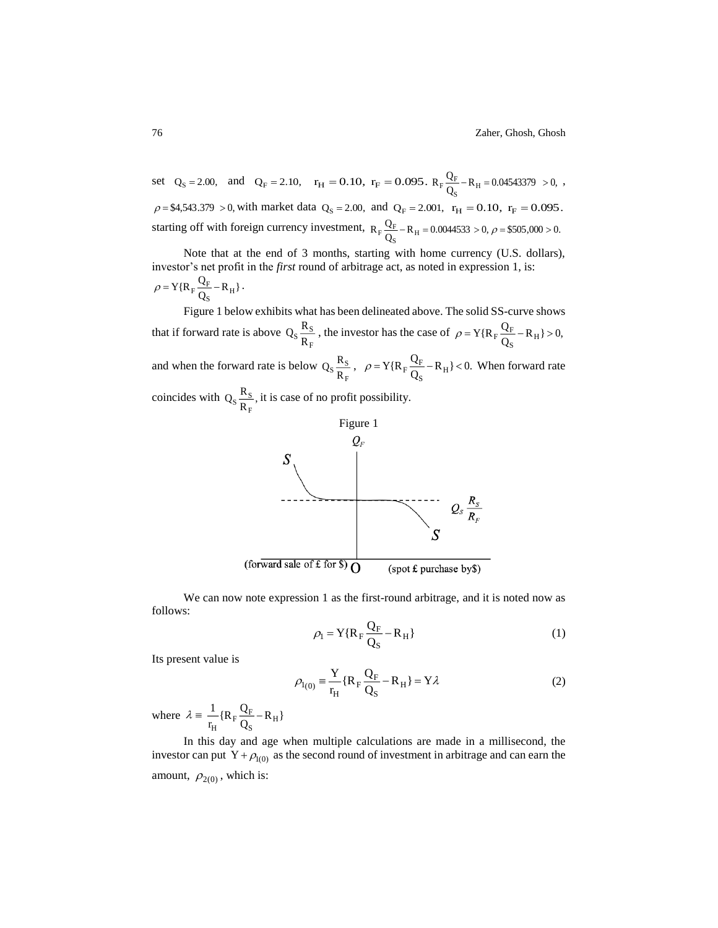set  $Q_S = 2.00$ , and  $Q_F = 2.10$ ,  $r_H = 0.10$ ,  $r_F = 0.095$ .  $R_F \frac{Q_F}{Q_S} - R_H = 0.04543379 > 0$ ,  $R_F \frac{Q_F}{Q_S} - R_H$  $F \frac{Q_F}{Q} - R_H = 0.04543379 > 0,$ ,  $\rho =$  \$4,543.379 > 0, with market data  $Q_s = 2.00$ , and  $Q_F = 2.001$ ,  $r_H = 0.10$ ,  $r_F = 0.095$ . starting off with foreign currency investment,  $R_F \frac{Q_F}{Q_S} - R_H = 0.0044533 > 0, \rho = $505,000 > 0.$  $R_F \frac{Q_F}{Q_S} - R_H$  $_{\rm F}$   $\frac{\rm Q_{\rm F}}{\rm C}$  – R<sub>H</sub> = 0.0044533 > 0,  $\rho$  = \$505,000 >

Note that at the end of 3 months, starting with home currency (U.S. dollars), investor's net profit in the *first* round of arbitrage act, as noted in expression 1, is:  $\frac{\mathbf{R}_{\mathrm{F}}}{\mathbf{Q}_{\mathrm{S}}} - \mathbf{R}_{\mathrm{H}}$  $\rho = Y{R_F \frac{Q_F}{Q_S} - R_H}.$ 

Figure 1 below exhibits what has been delineated above. The solid SS-curve shows that if forward rate is above F  $s \frac{R_S}{R_E}$  $Q_S \frac{R_S}{R_F}$ , the investor has the case of  $\rho = Y\{R_F \frac{Q_F}{Q_S} - R_H\} > 0$ ,  $\rho = Y\{R_F \frac{Q_F}{Q_S} - R_H\}$ and when the forward rate is below F  $s \frac{R}{R_E}$  $Q_S \frac{R_S}{R_E}$ ,  $\rho = Y\{R_E \frac{Q_E}{Q_S} - R_H\} < 0.$  $\rho = Y\{R_F \frac{Q_F}{Q_S} - R_H\} < 0$ . When forward rate coincides with  $Q_S \frac{R_S}{R_E}$ ,  $\mathrm{Q_{S}\frac{R_{S}}{R_{F}}}$  $s \frac{R_S}{R}$ , it is case of no profit possibility.



We can now note expression 1 as the first-round arbitrage, and it is noted now as follows:

$$
\rho_{\rm l} = Y\{R_{\rm F}\frac{Q_{\rm F}}{Q_{\rm S}} - R_{\rm H}\}\tag{1}
$$

Its present value is

$$
\rho_{1(0)} = \frac{Y}{r_{H}} \{R_{F} \frac{Q_{F}}{Q_{S}} - R_{H}\} = Y\lambda
$$
\n(2)

where  $\lambda = \frac{1}{r_H} \{R_F \frac{Q_F}{Q_S} - R_H\}$  $\frac{1}{r_H}$ {R<sub>F</sub> $\frac{Q}{Q}$ 1  $\frac{1}{s}$   $\frac{1}{s}$  $\frac{L}{H}$  {R<sub>F</sub>  $\frac{Q_F}{Q_S}$ Ξ.

In this day and age when multiple calculations are made in a millisecond, the investor can put  $Y + \rho_{1(0)}$  as the second round of investment in arbitrage and can earn the amount,  $\rho_{2(0)}$ , which is: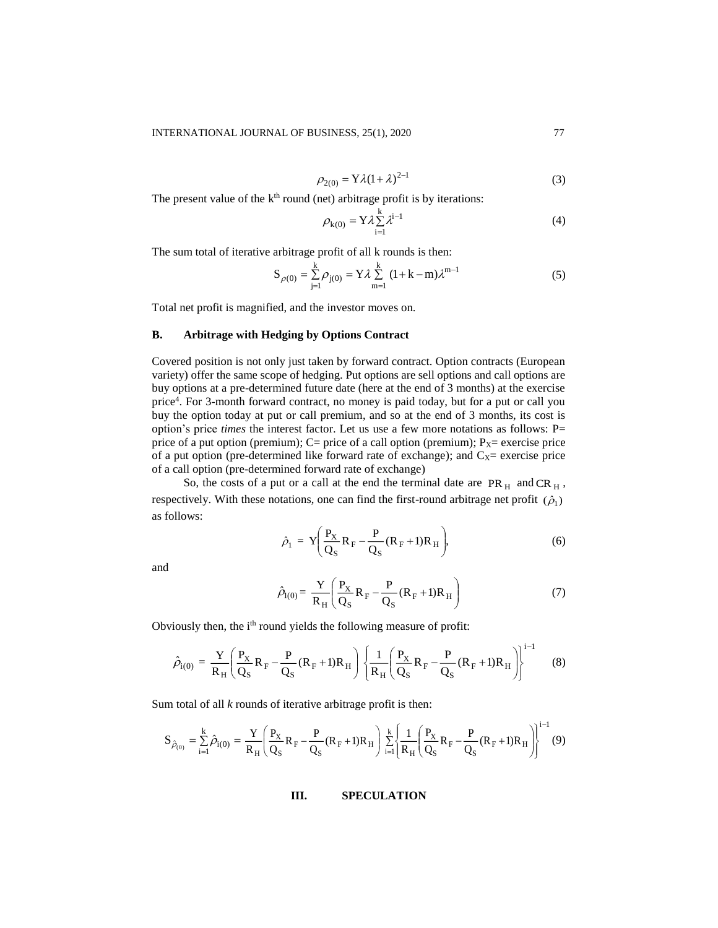$$
\rho_{2(0)} = Y\lambda(1+\lambda)^{2-1}
$$
 (3)

The present value of the  $k<sup>th</sup>$  round (net) arbitrage profit is by iterations:

$$
\rho_{k(0)} = Y \lambda \sum_{i=1}^{k} \lambda^{i-1} \tag{4}
$$

The sum total of iterative arbitrage profit of all k rounds is then:

$$
S_{\rho(0)} = \sum_{j=1}^{k} \rho_{j(0)} = Y \lambda \sum_{m=1}^{k} (1 + k - m) \lambda^{m-1}
$$
 (5)

Total net profit is magnified, and the investor moves on.

## **B. Arbitrage with Hedging by Options Contract**

Covered position is not only just taken by forward contract. Option contracts (European variety) offer the same scope of hedging. Put options are sell options and call options are buy options at a pre-determined future date (here at the end of 3 months) at the exercise price<sup>4</sup> . For 3-month forward contract, no money is paid today, but for a put or call you buy the option today at put or call premium, and so at the end of 3 months, its cost is option's price *times* the interest factor. Let us use a few more notations as follows: P= price of a put option (premium);  $C=$  price of a call option (premium);  $P_X=$  exercise price of a put option (pre-determined like forward rate of exchange); and  $C<sub>X</sub>=$  exercise price of a call option (pre-determined forward rate of exchange)

So, the costs of a put or a call at the end the terminal date are  $PR<sub>H</sub>$  and  $CR<sub>H</sub>$ , respectively. With these notations, one can find the first-round arbitrage net profit  $(\hat{\rho}_1)$ as follows:

$$
\hat{\rho}_1 = \mathbf{Y} \left( \frac{\mathbf{P}_{\mathbf{X}}}{\mathbf{Q}_{\mathbf{S}}} \mathbf{R}_{\mathbf{F}} - \frac{\mathbf{P}}{\mathbf{Q}_{\mathbf{S}}} (\mathbf{R}_{\mathbf{F}} + 1) \mathbf{R}_{\mathbf{H}} \right),\tag{6}
$$

and

$$
\hat{\rho}_{I(0)} = \frac{Y}{R_H} \left( \frac{P_X}{Q_S} R_F - \frac{P}{Q_S} (R_F + 1) R_H \right) \tag{7}
$$

Obviously then, the i<sup>th</sup> round yields the following measure of profit:

$$
\hat{\rho}_{i(0)} = \frac{Y}{R_H} \left( \frac{P_X}{Q_S} R_F - \frac{P}{Q_S} (R_F + 1) R_H \right) \left\{ \frac{1}{R_H} \left( \frac{P_X}{Q_S} R_F - \frac{P}{Q_S} (R_F + 1) R_H \right) \right\}^{i-1} \tag{8}
$$

Sum total of all *k* rounds of iterative arbitrage profit is then:

$$
S_{\hat{\rho}_{(0)}} = \sum_{i=1}^{k} \hat{\rho}_{i(0)} = \frac{Y}{R_H} \left( \frac{P_X}{Q_S} R_F - \frac{P}{Q_S} (R_F + 1) R_H \right) \sum_{i=1}^{k} \left\{ \frac{1}{R_H} \left( \frac{P_X}{Q_S} R_F - \frac{P}{Q_S} (R_F + 1) R_H \right) \right\}^{i-1} (9)
$$

**III. SPECULATION**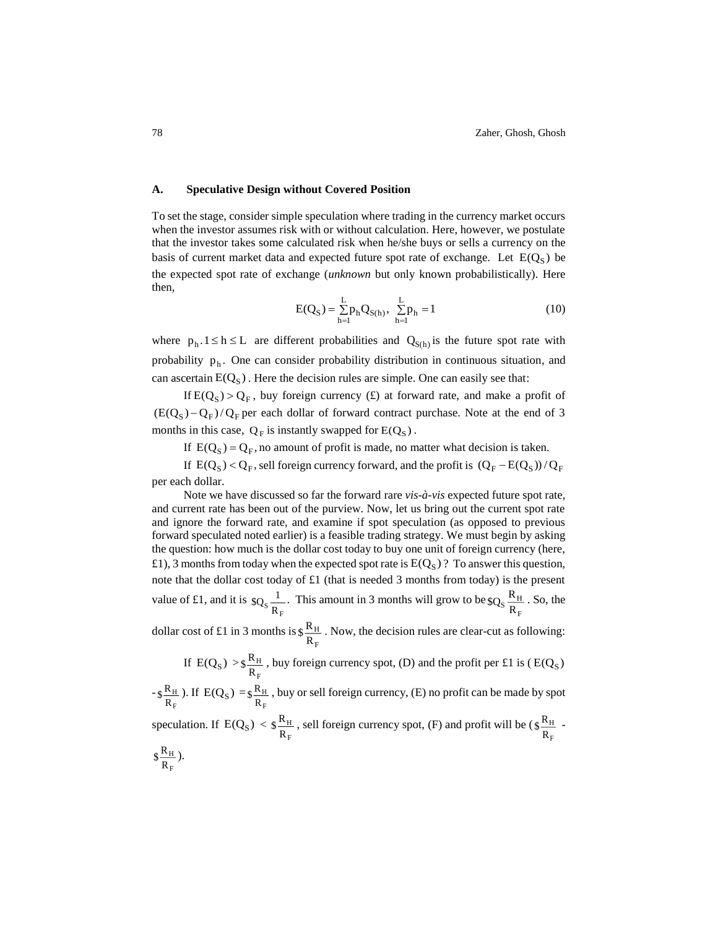#### **A. Speculative Design without Covered Position**

To set the stage, consider simple speculation where trading in the currency market occurs when the investor assumes risk with or without calculation. Here, however, we postulate that the investor takes some calculated risk when he/she buys or sells a currency on the basis of current market data and expected future spot rate of exchange. Let  $E(Q<sub>S</sub>)$  be the expected spot rate of exchange (*unknown* but only known probabilistically). Here then,

$$
E(Q_S) = \sum_{h=1}^{L} p_h Q_{S(h)}, \ \sum_{h=1}^{L} p_h = 1
$$
 (10)

where  $p_h \cdot 1 \le h \le L$  are different probabilities and  $Q_{S(h)}$  is the future spot rate with probability  $p_h$ . One can consider probability distribution in continuous situation, and can ascertain  $E(Q<sub>S</sub>)$ . Here the decision rules are simple. One can easily see that:

If  $E(Q_S) > Q_F$ , buy foreign currency (£) at forward rate, and make a profit of  $(E(Q<sub>S</sub>) - Q<sub>F</sub>) / Q<sub>F</sub>$  per each dollar of forward contract purchase. Note at the end of 3 months in this case,  $Q_F$  is instantly swapped for  $E(Q_S)$ .

If  $E(Q_S) = Q_F$ , no amount of profit is made, no matter what decision is taken.

If  $E(Q_S) < Q_F$ , sell foreign currency forward, and the profit is  $(Q_F - E(Q_S))/Q_F$ per each dollar.

Note we have discussed so far the forward rare *vis-à-vis* expected future spot rate, and current rate has been out of the purview. Now, let us bring out the current spot rate and ignore the forward rate, and examine if spot speculation (as opposed to previous forward speculated noted earlier) is a feasible trading strategy. We must begin by asking the question: how much is the dollar cost today to buy one unit of foreign currency (here, £1), 3 months from today when the expected spot rate is  $E(Q<sub>S</sub>)$  ? To answer this question, note that the dollar cost today of £1 (that is needed 3 months from today) is the present value of £1, and it is  $^{\mathrm{S}}$   $\overline{\mathrm{R}_{\mathrm{F}}}$  $log_{\rm s}$  $\frac{1}{2}$ . This amount in 3 months will grow to be F  $s\frac{R_{\rm H}}{R_{\rm F}}$  $\log_{\rm S} \frac{\rm R_{\rm H}}{2}$ . So, the

dollar cost of £1 in 3 months is F H R  $\frac{R_{\rm H}}{R_{\rm H}}$  . Now, the decision rules are clear-cut as following:

If 
$$
E(Q_S) > \frac{R_H}{R_F}
$$
, buy foreign currency spot, (D) and the profit per £1 is (  $E(Q_S)$ 

- F H R  $\frac{R_{\rm H}}{S_{\rm H}}$  ). If E(Q<sub>S</sub>) = F  $\frac{\mathbf{R}_{\mathrm{H}}}{\mathbf{R}_{\mathrm{F}}}$  $\frac{\mathcal{R}_H}{\mathcal{R}}$ , buy or sell foreign currency, (E) no profit can be made by spot

speculation. If 
$$
E(Q_S) < \S \frac{R_H}{R_F}
$$
, sell foreign currency spot, (F) and profit will be  $(\S \frac{R_H}{R_F} - R_H)$ .

$$
\S \frac{\kappa_{\rm H}}{R_{\rm F}}.
$$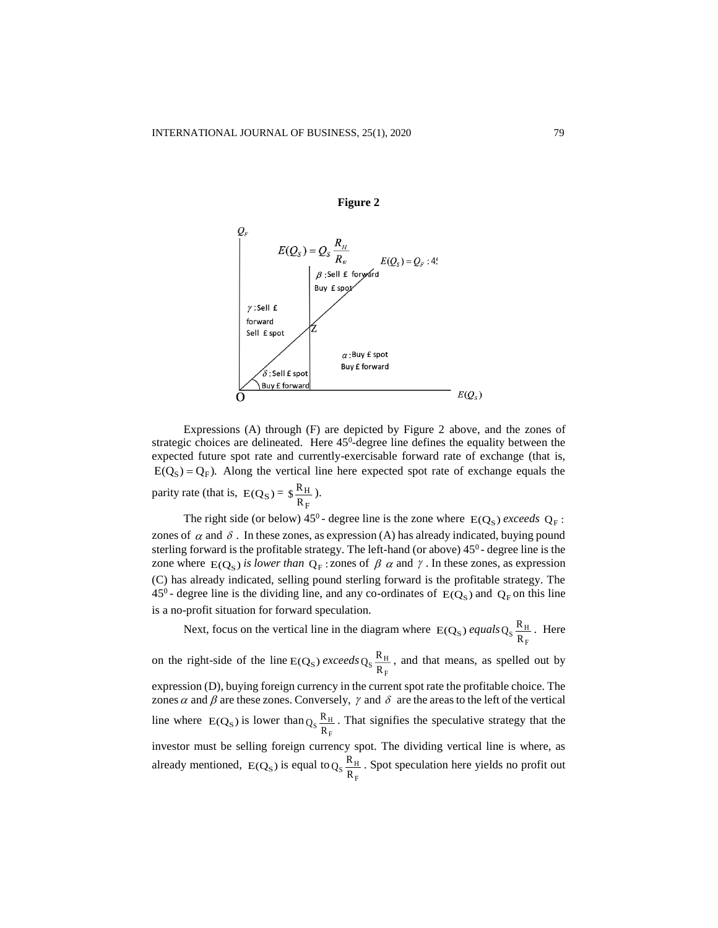

**Figure 2**

Expressions (A) through (F) are depicted by Figure 2 above, and the zones of strategic choices are delineated. Here 45<sup>0</sup>-degree line defines the equality between the expected future spot rate and currently-exercisable forward rate of exchange (that is,  $E(Q<sub>S</sub>) = Q<sub>F</sub>$ ). Along the vertical line here expected spot rate of exchange equals the parity rate (that is,  $E(Q_S)$  = F H R  $\frac{R_{\rm H}}{2}$ ).

The right side (or below)  $45^0$  - degree line is the zone where  $E(Q_s)$  *exceeds*  $Q_F$ : zones of  $\alpha$  and  $\delta$ . In these zones, as expression (A) has already indicated, buying pound sterling forward is the profitable strategy. The left-hand (or above)  $45^{\circ}$ - degree line is the zone where  $E(Q_S)$  is lower than  $Q_F$ : zones of  $\beta$   $\alpha$  and  $\gamma$ . In these zones, as expression (C) has already indicated, selling pound sterling forward is the profitable strategy. The 45<sup>0</sup> - degree line is the dividing line, and any co-ordinates of  $E(Q_S)$  and  $Q_F$  on this line is a no-profit situation for forward speculation.

Next, focus on the vertical line in the diagram where  $E(Q<sub>s</sub>)$  *equals* F  $Q_S \frac{R_H}{R_H}$ . Here on the right-side of the line  $E(Q<sub>S</sub>)$  exceeds F  $Q_S \frac{R_H}{R_H}$ , and that means, as spelled out by expression (D), buying foreign currency in the current spot rate the profitable choice. The zones  $\alpha$  and  $\beta$  are these zones. Conversely,  $\gamma$  and  $\delta$  are the areas to the left of the vertical line where  $E(Q<sub>S</sub>)$  is lower than F  $Q_S \frac{R_H}{R_E}$ . That signifies the speculative strategy that the investor must be selling foreign currency spot. The dividing vertical line is where, as already mentioned,  $E(Q<sub>S</sub>)$  is equal to F  $Q_S \frac{R_H}{R_F}$ . Spot speculation here yields no profit out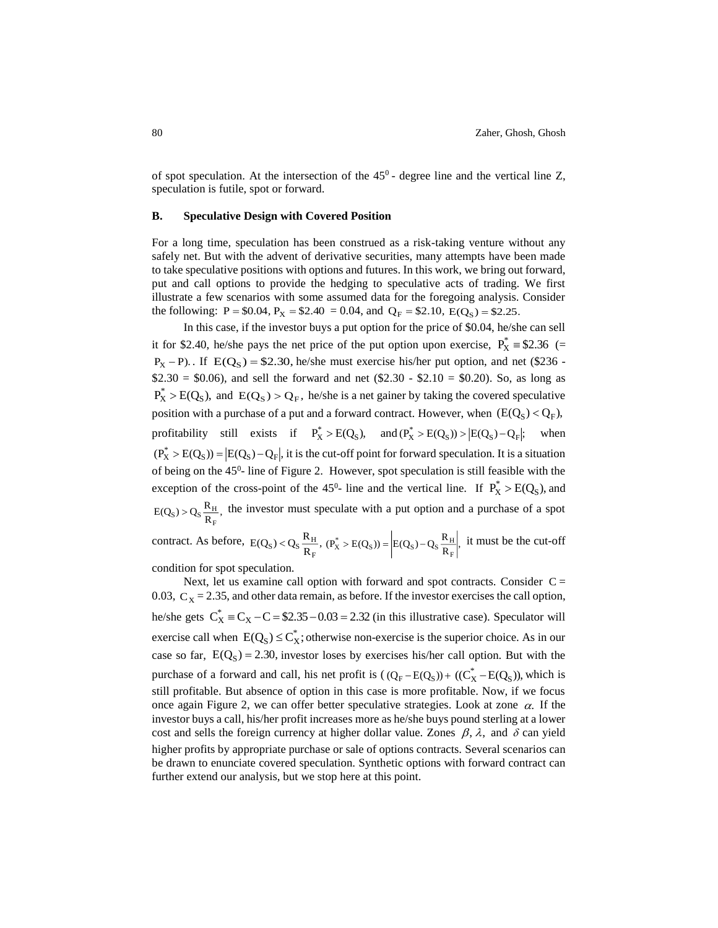of spot speculation. At the intersection of the  $45^{\circ}$  - degree line and the vertical line Z, speculation is futile, spot or forward.

#### **B. Speculative Design with Covered Position**

For a long time, speculation has been construed as a risk-taking venture without any safely net. But with the advent of derivative securities, many attempts have been made to take speculative positions with options and futures. In this work, we bring out forward, put and call options to provide the hedging to speculative acts of trading. We first illustrate a few scenarios with some assumed data for the foregoing analysis. Consider the following: P = \$0.04, P<sub>X</sub> = \$2.40 = 0.04, and Q<sub>F</sub> = \$2.10, E(Q<sub>S</sub>) = \$2.25.

In this case, if the investor buys a put option for the price of \$0.04, he/she can sell it for \$2.40, he/she pays the net price of the put option upon exercise,  $P_X^* = $2.36$  (=  $P_X - P$ ). If  $E(Q_S) = $2.30$ , he/she must exercise his/her put option, and net (\$236 - $$2.30 = $0.06$ ), and sell the forward and net (\$2.30 - \$2.10 = \$0.20). So, as long as  $P_X^* > E(Q_S)$ , and  $E(Q_S) > Q_F$ , he/she is a net gainer by taking the covered speculative position with a purchase of a put and a forward contract. However, when  $(E(Q_S) < Q_F)$ , profitability still exists if  $P_X^* > E(Q_S)$ , and  $(P_X^* > E(Q_S)) > |E(Q_S) - Q_F|$ ; when  $(P_X^* > E(Q_S)) = |E(Q_S) - Q_F|$ , it is the cut-off point for forward speculation. It is a situation of being on the  $45^{\circ}$ - line of Figure 2. However, spot speculation is still feasible with the exception of the cross-point of the 45<sup>0</sup>- line and the vertical line. If  $P_X^* > E(Q_S)$ , and  $R_{\rm m}$   $^{\circ}$  $E(Q_S) > Q_S \frac{R_H}{R_F}$  $\text{sg}_{\text{S}} > \text{Q}_{\text{S}} \frac{\text{R}_{\text{H}}}{\text{R}_{\text{B}}}$ , the investor must speculate with a put option and a purchase of a spot contract. As before,  $E(Q_S) < Q_S \frac{R_H}{R_E}$ ,  $E(Q_S) < Q_S \frac{R_H}{R_F}$  $\mathcal{L}_S$  >  $Q_S \frac{\mathbf{R}_{\rm H}}{\mathbf{R}_{\rm F}}$ ,  $(P_X^* > E(Q_S)) = |E(Q_S) - Q_S \frac{\mathbf{R}_{\rm H}}{\mathbf{R}_{\rm F}}|$ ,  $(P_X^* > E(Q_S)) = E(Q_S) - Q_S \frac{R_H}{R_F}$  $\frac{k}{X} > E(Q_S) = E(Q_S) - Q_S \frac{R_H}{R}$ , it must be the cut-off

condition for spot speculation.

Next, let us examine call option with forward and spot contracts. Consider  $C =$ 0.03,  $C_x = 2.35$ , and other data remain, as before. If the investor exercises the call option, he/she gets  $C_X^* = C_X - C = $2.35 - 0.03 = 2.32$  (in this illustrative case). Speculator will exercise call when  $E(Q_S) \leq C_X^*$ ; otherwise non-exercise is the superior choice. As in our case so far,  $E(Q<sub>S</sub>) = 2.30$ , investor loses by exercises his/her call option. But with the purchase of a forward and call, his net profit is  $((Q_F - E(Q_S)) + ((C_X^* - E(Q_S)))$ , which is still profitable. But absence of option in this case is more profitable. Now, if we focus once again Figure 2, we can offer better speculative strategies. Look at zone  $\alpha$ . If the investor buys a call, his/her profit increases more as he/she buys pound sterling at a lower cost and sells the foreign currency at higher dollar value. Zones  $\beta$ ,  $\lambda$ , and  $\delta$  can yield higher profits by appropriate purchase or sale of options contracts. Several scenarios can be drawn to enunciate covered speculation. Synthetic options with forward contract can further extend our analysis, but we stop here at this point.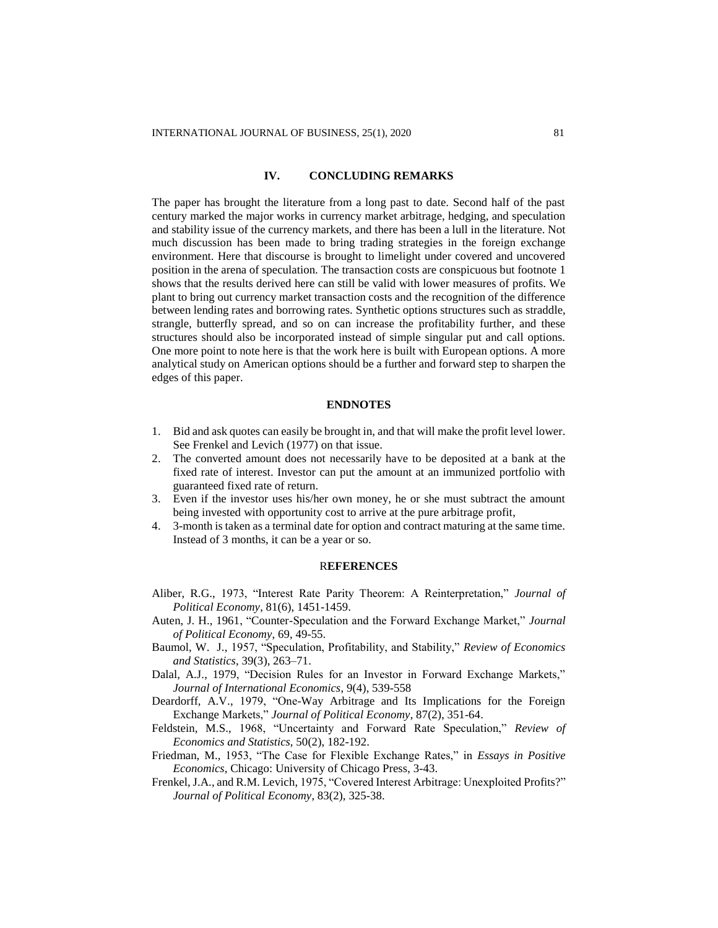#### **IV. CONCLUDING REMARKS**

The paper has brought the literature from a long past to date. Second half of the past century marked the major works in currency market arbitrage, hedging, and speculation and stability issue of the currency markets, and there has been a lull in the literature. Not much discussion has been made to bring trading strategies in the foreign exchange environment. Here that discourse is brought to limelight under covered and uncovered position in the arena of speculation. The transaction costs are conspicuous but footnote 1 shows that the results derived here can still be valid with lower measures of profits. We plant to bring out currency market transaction costs and the recognition of the difference between lending rates and borrowing rates. Synthetic options structures such as straddle, strangle, butterfly spread, and so on can increase the profitability further, and these structures should also be incorporated instead of simple singular put and call options. One more point to note here is that the work here is built with European options. A more analytical study on American options should be a further and forward step to sharpen the edges of this paper.

#### **ENDNOTES**

- 1. Bid and ask quotes can easily be brought in, and that will make the profit level lower. See Frenkel and Levich (1977) on that issue.
- 2. The converted amount does not necessarily have to be deposited at a bank at the fixed rate of interest. Investor can put the amount at an immunized portfolio with guaranteed fixed rate of return.
- 3. Even if the investor uses his/her own money, he or she must subtract the amount being invested with opportunity cost to arrive at the pure arbitrage profit,
- 4. 3-month is taken as a terminal date for option and contract maturing at the same time. Instead of 3 months, it can be a year or so.

## R**EFERENCES**

- Aliber, R.G., 1973, "Interest Rate Parity Theorem: A Reinterpretation," *Journal of Political Economy*, 81(6), 1451-1459.
- Auten, J. H., 1961, "Counter-Speculation and the Forward Exchange Market," *Journal of Political Economy*, 69, 49-55.
- Baumol, W. J., 1957, "Speculation, Profitability, and Stability," *Review of Economics and Statistics*, 39(3), 263–71.
- Dalal, A.J., 1979, "Decision Rules for an Investor in Forward Exchange Markets," *Journal of International Economics*, 9(4), 539-558
- Deardorff, A.V., 1979, "One-Way Arbitrage and Its Implications for the Foreign Exchange Markets," *Journal of Political Economy*, 87(2), 351-64.
- Feldstein, M.S., 1968, "Uncertainty and Forward Rate Speculation," *Review of Economics and Statistics*, 50(2), 182-192.
- Friedman, M., 1953, "The Case for Flexible Exchange Rates," in *Essays in Positive Economics*, Chicago: University of Chicago Press, 3-43.
- Frenkel, J.A., and R.M. Levich, 1975, "Covered Interest Arbitrage: Unexploited Profits?" *Journal of Political Economy*, 83(2), 325-38.